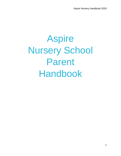# Aspire Nursery School Parent Handbook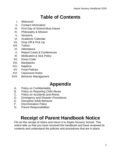### **Table of Contents**

- I. Welcome!
- II. Contact Information
- III. First Day of School Must Haves
- IV. Philosophy & Mission
- V. Sessions
- VI. Academic Calendar
- VII. Drop Off & Pick Up
- VIII. Tuition
- IX. Attendance
- X. Report Cards & Conferences
- XI. Medication & Sick Policy
- XII. Dress Code
- XIII. Backpacks
- XIV. Naptime
- XV. Food Policies
- XVI. Classroom Rules
- XVII. Behavior Management

### **Appendix**

- A. Policy on Confidentiality
- B. Policy on Reporting Child Abuse
- C. Policy on Accidents and Illness
- D. Emergency and Disaster Procedures
- E. Disruptive Adult Behavior
- F. Discrimination Policy
- G. Parent Responsibilities

### **Receipt of Parent Handbook Notice**

Fill out the receipt of notice and return it to Aspire Nursery School. This notice tells us that you have received the handbook and have reviewed its contents and understand the policies and procedures that are in place.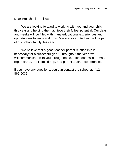Dear Preschool Families,

We are looking forward to working with you and your child this year and helping them achieve their fullest potential. Our days and weeks will be filled with many educational experiences and opportunities to learn and grow. We are so excited you will be part of our school family this year!

We believe that a good teacher-parent relationship is necessary for a successful year. Throughout the year, we will communicate with you through notes, telephone calls, e-mail, report cards, the Remind app, and parent teacher conferences.

If you have any questions, you can contact the school at: 412- 867-5035.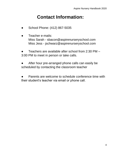#### **Contact Information:**

- School Phone: (412) 867-5035
- Teacher e-mails: Miss Sarah - sbacon@aspirenurseryschool.com Miss Jess - jschwarz@aspirenurseryschool.com

Teachers are available after school from  $2:30$  PM – 3:00 PM to meet in person or take calls.

After hour pre-arranged phone calls can easily be scheduled by contacting the classroom teacher

Parents are welcome to schedule conference time with their student's teacher via email or phone call.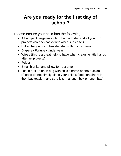### **Are you ready for the first day of school?**

Please ensure your child has the following:

- A backpack large enough to hold a folder and all your fun projects (no backpacks with wheels, please.)
- Extra change of clothes (labeled with child's name)
- Diapers / Pullups / Underwear
- Wipes (this is a great help to have when cleaning little hands after art projects)
- Folder
- Small blanket and pillow for rest time
- Lunch box or lunch bag with child's name on the outside (Please do not simply place your child's food containers in their backpack, make sure it is in a lunch box or lunch bag)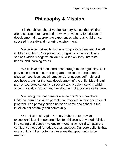#### **Philosophy & Mission:**

It is the philosophy of Aspire Nursery School that children are encouraged to learn and grow by providing a foundation of developmentally appropriate experiences where all children can succeed in a safe and nurturing environment.

We believe that each child is a unique individual and that all children can learn. Our preschool programs provide inclusive settings which recognize children's varied abilities, interests, needs, and learning styles.

We believe children learn best through meaningful play. Our play-based, child centered program reflects the integration of physical, cognitive, social, emotional, language, self-help and aesthetic areas for the total development of the child. Meaningful play encourages curiosity, discovery and problem solving which allows individual growth and development of a positive self-image.

We recognize that parents are the child's first teachers. Children learn best when parents are involved in their educational program. The primary bridge between home and school is the involvement of family and community.

Our mission at Aspire Nursery School is to provide exceptional learning opportunities for children with varied abilities in a caring and supportive environment. Each child will gain the confidence needed for educational success. Our core belief is that every child's fullest potential deserves the opportunity to be realized.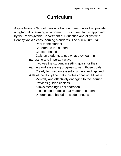### **Curriculum:**

Aspire Nursery School uses a collection of resources that provide a high-quality learning environment. This curriculum is approved by the Pennsylvania Department of Education and aligns with Pennsylvania's early learning standards. The curriculum (is):

- Real to the student
- Coherent to the student
- Concept-based
- Calls on students to use what they learn in interesting and important ways
- Involves the student in setting goals for their learning and assessing progress toward those goals
- Clearly focused on essential understandings and skills of the discipline that a professional would value
- Mentally and effectively engaging to the learner
- Provides guided choices
- Allows meaningful collaboration
- Focuses on products that matter to students
- Differentiated based on student needs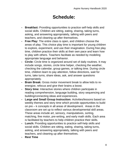#### **Schedule:**

- **- Breakfast:** Providing opportunities to practice self-help skills and social skills. Children are sitting, eating, sharing, taking turns, asking, and answering appropriately, talking with peers and teachers, and cleaning up after themselves.
- **- Free Play:** The entire class is open, and children choose the areas of play. This choice play time is important for young children to explore, experiment, and use their imagination. During free play time, children practice their skills at their own pace and learn how to play with others. Teachers facilitate as needed by modeling appropriate language and behavior.
- **- Circle:** Circle time is organized around set of daily routines. It may include songs, stories, circle time helper, checking the weather, checking the calendar, group games, or talking time. During circle time, children learn to pay attention, follow directions, wait for turns, take turns, share ideas, ask, and answer questions appropriately.
- **- Brain Break:** Gross motor movement break to allow kids to reenergize, refocus and give their brains a boost.
- **- Story time:** Interactive stories where children participate in reading comprehension, language building, story sequencing and building/connecting ideas and experiences.
- **- Large and Small Group Instruction:** Activities/lessons based on weekly themes and story time which provide opportunities to build on pre – k concepts in all areas of development. Areas in the classroom are set up to reflect various developmental skill areas. These areas include art, sensory, manipulatives, sorting, matching, fine motor, pre-writing, and early math skills. Each area is facilitated by teachers to help children practice their skills.
- **- Lunch:** Providing opportunities to practice self-help skills and social skills. Children are sitting, eating, sharing, taking turns, asking, and answering appropriately, talking with peers and teachers, and cleaning up after themselves.
- **- Rest Time**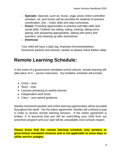- **- Specials:** Specials, such as, music, yoga, gross motor-controlled activities, art, and recess will be provided for students to practice coordination, fine – motor skills and step commands.
- **- Snack:** Providing opportunities to practice self-help skills and social skills. Children are sitting, eating, sharing, taking turns, asking, and answering appropriately, talking with peers and teachers, and cleaning up after themselves.
- **- Dismissal**

Your child will have a daily log, important forms/newsletters, homework packets and artwork, weekly so please check folders daily!

#### **Remote Learning Schedule:**

In the event of a government mandated school closure, remote learning will take place of in – person instruction. Our tentative schedule will include:

- Circle time
- Story time
- Lessons pertaining to weekly themes
- Independent work times
- Carry over parent quidance

Weekly homework packets and online learning opportunities will be provided throughout the week. Per the tuition agreement, families will continue to pay in order to receive remote learning services. If the tuition agreement is broken, it is assumed that you will be unenrolling your child from our preschool program and your spot will be unavailable once schools reopen.

**Please know that the remote learning schedule only pertains to government mandated closures and is not applicable to snow days or utility service outages.**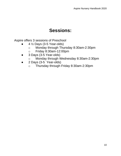#### **Sessions:**

Aspire offers 3 sessions of Preschool

- 4 ½ Days (3-5 Year-olds)
	- o Monday through Thursday 8:30am-2:30pm
	- o Friday 8:30am-12:00pm
- 3 Days (3-5 Year-olds)
	- o Monday through Wednesday 8:30am-2:30pm
- 2 Days (3-5 Year-olds)
	- o Thursday through Friday 8:30am-2:30pm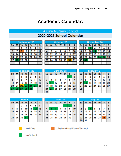#### **Academic Calendar:**

## Aspire Nursery School<br>2020-2021 School Calendar

| September '20 |    |    |    |    |    |    |  |
|---------------|----|----|----|----|----|----|--|
| Su            | M  | Tυ | W  | Th | F  | S  |  |
|               |    |    | 2  | 3  | 4  | 5  |  |
| 6             | 7  | 8  | 9  | 10 | 11 | 12 |  |
| 13            | 14 | 15 | 16 | 17 | 18 | 19 |  |
| 20            | 21 | 22 | 23 | 24 | 25 | 26 |  |
| 27            | 28 | 29 | 30 |    |    |    |  |
|               |    |    |    |    |    |    |  |

| October '20 |    |    |    |    |    |    |  |
|-------------|----|----|----|----|----|----|--|
| Su          | M  | Tυ | W  | Th | F  | S  |  |
|             |    |    |    |    | 2  | 3  |  |
| 4           | 5  |    | 7  | 8  | 9  | 10 |  |
|             | 12 | 13 | 14 | 15 | 16 | 17 |  |
| 18          | 19 | 20 | 21 | 22 | 23 | 24 |  |
| 25          | 26 | 27 | 28 | 29 | 30 | 31 |  |
|             |    |    |    |    |    |    |  |

|    | November 20 |    |    |    |    |    |  |  |  |
|----|-------------|----|----|----|----|----|--|--|--|
| Su | M           | Tυ | W  | Th | F  | S  |  |  |  |
|    | 2           | з  | 4  | 5  | 6  |    |  |  |  |
| 8  | 9           | 10 | 11 | 12 | 13 | 14 |  |  |  |
| 15 | 16          | 17 | 18 | 19 | 20 | 21 |  |  |  |
| 22 | 23          | 24 | 25 | 26 | 27 | 28 |  |  |  |
| 29 | 30          |    |    |    |    |    |  |  |  |
|    |             |    |    |    |    |    |  |  |  |

| December '20 |    |     |    |    |    |    |  |
|--------------|----|-----|----|----|----|----|--|
| Su           | M  | Tu  | W  | Th | F  | S  |  |
|              |    |     | 2  | 3  |    | 5  |  |
| 6            | 7  | 8   | 9  | 10 |    | 12 |  |
| 13           | 14 | 15  | 16 | 17 | 18 | 19 |  |
| 20           | 21 | 22. | 23 | 24 | 25 | 26 |  |
| 27           | 28 | 29  | 30 | 31 |    |    |  |
|              |    |     |    |    |    |    |  |

| January '21 |    |                    |    |    |    |    |  |
|-------------|----|--------------------|----|----|----|----|--|
| <b>Su</b>   | M  | W<br>F<br>Tu<br>Th |    |    |    |    |  |
|             |    |                    |    |    |    | 2  |  |
| 3           | 4  | 5                  | 6  | 7  | 8  | 9  |  |
| 10          |    | 12                 | 13 | 14 | 15 | 16 |  |
| 17          | 18 | 19                 | 20 | 21 | 22 | 23 |  |
| 24          | 25 | 26                 | 27 | 28 | 29 | 30 |  |
| 31          |    |                    |    |    |    |    |  |

| February '21 |    |    |    |    |    |    |  |  |
|--------------|----|----|----|----|----|----|--|--|
| Su           | M  | Τw | W  | Th | F  | S  |  |  |
|              |    | 2  | 3  | 4  | 5  | 6  |  |  |
| 7            | 8  | 9  | 10 |    | 12 | 13 |  |  |
| 14           | 15 | 16 | 17 | 18 | 19 | 20 |  |  |
| 21           | 22 | 23 | 24 | 25 | 26 | 27 |  |  |
| 28           |    |    |    |    |    |    |  |  |
|              |    |    |    |    |    |    |  |  |

| March '21 |    |    |    |    |    |    |  |
|-----------|----|----|----|----|----|----|--|
| Su        | M  | Īυ | W  | Th | F  | S  |  |
|           |    | 2  | 3  | 4  | 5  | 6  |  |
| 7         | 8  | 9  | 10 |    | 12 | 13 |  |
| 14        | 15 | 16 | 17 | 18 | 19 | 20 |  |
| 21        | 22 | 23 | 24 | 25 | 26 | 27 |  |
| 28        | 29 | 30 | 31 |    |    |    |  |
|           |    |    |    |    |    |    |  |

| April '21 |    |    |    |    |    |    |  |
|-----------|----|----|----|----|----|----|--|
| Su        | M  | Tυ | W  | Th | F  | S  |  |
|           |    |    |    |    | 2  | 3  |  |
| 4         | 5  | ó  | 7  | 8  | 9  | 10 |  |
| 11        | 12 | 13 | 14 | 15 | 16 | 17 |  |
| 18        | 19 | 20 | 21 | 22 | 23 | 24 |  |
| 25        | 26 | 27 | 28 | 29 | 30 |    |  |
|           |    |    |    |    |    |    |  |

| May '21 |    |    |    |    |    |                 |  |
|---------|----|----|----|----|----|-----------------|--|
| Su      | M  | Τw | W  | Th | F  | S               |  |
|         |    |    |    |    |    |                 |  |
| 2       | 3  | 4  | 5  | 6  | v, | 8               |  |
| ģ       | 10 |    | 12 | 13 | 14 | $\overline{15}$ |  |
| 16      | 17 | 18 | 19 | 20 | 21 | 22              |  |
| 23      | 24 | 25 | 26 | 27 | 28 | 29              |  |
| 30      | 31 |    |    |    |    |                 |  |



**Half Day** 



First and Last Day of School



No School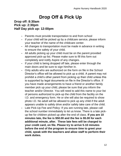### **Drop Off & Pick Up**

#### **Drop off: 8:30am Pick up: 2:30pm Half Day pick up: 12:00pm**

- **-** Parents must provide transportation to and from school
- **-** If your child will be picked up by a childcare service, please inform your teacher of the name of the childcare center.
- **-** All changes to transportation must be made in advance in writing to ensure the safety of your child.
- **-** All adults picking up your child must be on the parent provided approved pick-up list. Please make sure to fill this form out completely and notify Aspire of any changes.
- **-** If your child is being dropped off late, please enter through the main doors and be sure to sign him/her in.
- **-** Only adults who are authorized on the form on file in the School Director's office will be allowed to pick up a child. A parent may not prohibit a child's other parent from picking up their child unless this is supported by legal documents on file in the Director's office. If you have made arrangements to have a friend or another family member pick up your child, please be sure that you inform the teacher and/or Director. You will need to add this name to your list of persons authorized to pick-up the child from the facility on the I.D. and emergency form. He or she will also be required to show photo I.D. No adult will be allowed to pick up any child if the adult appears unable to safely drive and/or safely take care of the child.
- **-** Late Pick-Up Fee and Policy: If you are running late, please call the school number immediately to let us know. There is a late pickup fee for children picked up after the end of class. **If you are 10 minutes late, the fee is \$50.00 and the fee is \$5.00 for each additional minute, after. These late fees will be charged to your credit card, on file. Please try to arrive 5-10 minutes before the end of the program to ensure time to greet your child, speak with the teachers and allow staff to perform their work duties.**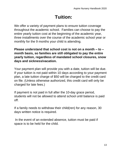### **Tuition:**

We offer a variety of payment plans to ensure tuition coverage throughout the academic school. Families can choose to pay the entire yearly tuition cost at the beginning of the academic year, three installments over the course of the academic school year or monthly for the 9 months your child is attending.

**Please understand that school cost is not on a month – to – month basis, so families are still obligated to pay the entire yearly tuition, regardless of mandated school closures, snow days and sickness/vacation.** 

Your payment plan will provide you with a date, tuition will be due. If your tuition is not paid within 10 days according to your payment plan, a late tuition charge of \$50 will be charged to the credit card on file. (Unless otherwise authorized, this credit card will only be charged for late fees.)

If payment is not paid in full after the 10-day grace period, students will not be allowed to attend school until balance is paid off.

If a family needs to withdraw their child(ren) for any reason, 30 days written notice is required.

In the event of an extended absence, tuition must be paid if space is to be held for the child.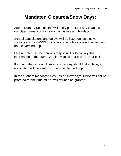#### **Mandated Closures/Snow Days:**

Aspire Nursery School staff will notify parents of any changes to our class times, such as early dismissals and holidays.

School cancelations and delays will be listed on local news stations such as WPXI or KDKA and a notification will be sent out on the Remind app.

Please note: It is the parent's responsibility to convey this information to the authorized individuals that pick-up your child.

If a mandated school closure or snow day should take place, a notification will be sent to you on the Remind app.

In the event of mandated closures or snow days, tuition will not be prorated for the time off nor will refunds be granted.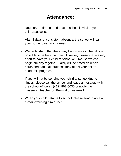#### **Attendance:**

- **-** Regular, on-time attendance at school is vital to your child's success.
- **-** After 3 days of consistent absence, the school will call your home to verify an illness.
- **-** We understand that there may be instances when it is not possible to be here on time. However, please make every effort to have your child at school on time, so we can begin our day together. Tardy will be noted on report cards and habitual tardiness may affect your child's academic progress.
- **-** If you will not be sending your child to school due to illness, please call the school and leave a message with the school office at: (412) 867-5035 or notify the classroom teacher on Remind or via email
- **-** When your child returns to school, please send a note or e-mail excusing him or her.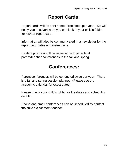### **Report Cards:**

Report cards will be sent home three times per year. We will notify you in advance so you can look in your child's folder for his/her report card.

Information will also be communicated in a newsletter for the report card dates and instructions.

Student progress will be reviewed with parents at parent/teacher conferences in the fall and spring.

### **Conferences:**

Parent conferences will be conducted twice per year. There is a fall and spring session planned. (Please see the academic calendar for exact dates)

Please check your child's folder for the dates and scheduling details.

Phone and email conferences can be scheduled by contact the child's classroom teacher.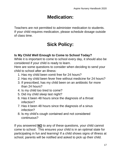### **Medication:**

Teachers are not permitted to administer medication to students. If your child requires medication, please schedule dosage outside of class time.

### **Sick Policy:**

#### **Is My Child Well Enough to Come to School Today?**

While it is important to come to school every day, it should also be considered if your child is ready to learn.

Here are some questions to consider when deciding to send your child to school after an illness:

- 1. Has my child been vomit free for 24 hours?
- 2. Has my child been fever free without medicine for 24 hours?
- 3. If prescribed, has my child been on an antibiotic for more than 24 hours?
- 4. Is my child too tired to come?
- 5. Did my child sleep last night?
- 6. Has it been 48 hours since the diagnosis of a throat infection?
- 7. Has it been 48 hours since the diagnosis of a sinus infection?
- 8. Is my child's cough contained and not considered continuous?

If you answered **NO** to any of these questions, your child cannot come to school. This ensures your child is in an optimal state for participating in fun and learning! If a child shows signs of illness at school, parents will be notified and asked to pick up their child.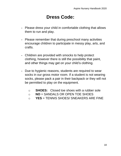### **Dress Code:**

- **-** Please dress your child in comfortable clothing that allows them to run and play.
- **-** Please remember that during preschool many activities encourage children to participate in messy play, arts, and crafts.
- **-** Children are provided with smocks to help protect clothing, however there is still the possibility that paint, and other things may get on your child's clothing.
- **-** Due to hygienic reasons, students are required to wear socks in our gross motor room. If a student is not wearing socks, please pack a pair in their backpack or they will not be permitted to play on the equipment.
	- o **SHOES:** Closed toe shoes with a rubber sole
	- o **NO** = SANDALS OR OPEN TOE SHOES
	- o **YES** = TENNIS SHOES/ SNEAKERS ARE FINE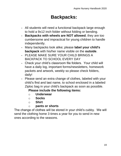### **Backpacks:**

- **-** All students will need a functional backpack large enough to hold a 9x12 inch folder without folding or bending.
- **- Backpacks with wheels are NOT allowed**; they are too cumbersome and impractical for young children to handle independently.
- **-** Many backpacks look alike; please **label your child's backpack** with his/her name visible on the **outside**.
- **-** PLEASE MAKE SURE YOUR CHILD BRINGS A BACKPACK TO SCHOOL EVERY DAY
- **-** Check your child's classroom file folders. Your child will have a daily log, important forms/newsletters, homework packets and artwork, weekly so please check folders, daily!
- **-** Please send an extra change of clothes, labeled with your child's first and last name, to school enclosed in a labeled Ziploc bag in your child's backpack as soon as possible.

#### **Please include the following items:**

- o **Underwear**
- o **Socks**
- o **Shirt**
- o **pants or shorts**

The change of clothes will be stored in your child's cubby. We will send the clothing home 3 times a year for you to send in new ones according to the seasons.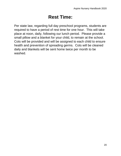### **Rest Time:**

Per state law, regarding full day preschool programs, students are required to have a period of rest time for one hour. This will take place at noon, daily, following our lunch period. Please provide a small pillow and a blanket for your child, to remain at the school. Cots will be provided and will be assigned to each child to ensure health and prevention of spreading germs. Cots will be cleaned daily and blankets will be sent home twice per month to be washed.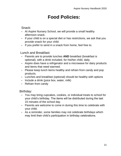#### **Food Policies:**

#### Snack:

- **-** At Aspire Nursery School, we will provide a small healthy afternoon snack.
- **-** If your child is on a special diet or has restrictions, we ask that you provide snack for your child.
- **-** If you prefer to send in a snack from home, feel free to.

#### Lunch and Breakfast:

- **-** Parents are to provide lunches **AND** breakfast (breakfast is optional), with a drink included, for his/her child, daily.
- **-** Aspire does have a refrigerator and a microwave for dairy products and items that need warmed.
- **-** Please keep lunch items healthy and refrain from candy and pop products.
- **-** Lunches and breakfast (optional) should be healthy with options
- **-** Include a drink (juice box, water, milk)
- **-** Refrain from candy

#### Birthday:

- **-** You may bring cupcakes, cookies, or individual treats to school for your child's birthday. The items will be distributed during the last 15 minutes of the school day.
- **-** Parents are welcome to come in during this time to celebrate with your child.
- **-** As a reminder, some families may not celebrate birthdays which may limit their child's participation in birthday celebrations.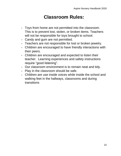#### **Classroom Rules:**

- **-** Toys from home are not permitted into the classroom. This is to prevent lost, stolen, or broken items. Teachers will not be responsible for toys brought to school.
- **-** Candy and gum are not permitted.
- **-** Teachers are not responsible for lost or broken jewelry.
- **-** Children are encouraged to have friendly interactions with their peers.
- **-** Children are encouraged and expected to listen their teacher. Learning experiences and safety instructions require "good listening".
- **-** Our classroom environment is to remain neat and tidy.
- **-** Play in the classroom should be safe.
- **-** Children are use inside voices while inside the school and walking feet in the hallways, classrooms and during transitions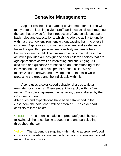#### **Behavior Management:**

Aspire Preschool is a learning environment for children with many different learning styles. Staff facilitates activities throughout the day that provide for the introduction of and consistent use of basic rules and expectations, which include the ability to function within a preschool environment without causing harm to oneself or others. Aspire uses positive reinforcement and strategies to foster the growth of personal responsibility and empathetic behavior in each child. The classroom environmental design and activities provided are designed to offer children choices that are age appropriate as well as interesting and challenging. All discipline and guidance are based on an understanding of the individual needs and development of each child. We are maximizing the growth and development of the child while protecting the group and the individuals within it.

Aspire uses a color-coded behavior chart as a visual reminder for students. Every student has a clip with his/her name. The colors represent the behavior, demonstrated by the individual student.

After rules and expectations have been established in the classroom, the color chart will be enforced. The color chart consists of three colors.

GREEN – The student is making appropriate/good choices, following all the rules, being a good friend and participating throughout the day.

Yellow – The student is struggling with making appropriate/good choices and needs a visual reminder to be conscious and to start making better choices.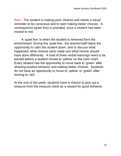Red – The student is making poor choices and needs a visual reminder to be conscious and to start making better choices. A consequence (quiet five) is provided, once a student has been moved to red.

A 'quiet five' is when the student is removed from the environment. During the 'quiet five', the teacher/staff takes the opportunity to calm the student down, and to discuss what happened, what choices were made and what he/she should have done differently. A total of three verbal warnings need to be earned before a student moves to 'yellow' on the color chart. Every student has the opportunity to move back to 'green' after showing positive behavior and making better choices. Students do not have an opportunity to move to 'yellow' or 'green' after moving to 'red'.

At the end of the week, students have a chance to pick out a treasure from the treasure chest as a reward for good behavior.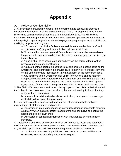### **Appendix**

#### A. Policy on Confidentiality

1. All information provided by parents in the enrollment and scheduling process is considered confidential, with the exception of the Child's Developmental and Health History that contains a disclaimer for the information it contains. We will disclose information to the Department of Social Services and the Department of Education and other qualifying agencies (such as alternative payment programs) for legal eligibility and qualifying purposes for programs.

a. Information in the children's files is accessible to the credentialed staff and administration staff only and kept in locked cabinets at all times.

b. No information concerning a child's enrollment status may be released over the phone or to any person other than the child's parent or guardian, as listed on the application.

c. No child shall be released to an adult other than the parent without written permission and proper identification.

d. Adults other than parents authorized to pick up children must be listed on the Emergency and Identification Information card, kept in his or her classroom and on the Emergency and Identification Information form on file at the front desk. e. Any additions to the Emergency pick up list for your child can be made by filling out the Change of Address/Phone/Pickup form and returning it to the front desk. Faxed and emailed changes to the pick up list must be followed up by a signed copy of Information Change form submitted to Front Desk the next day.

2. The Child's Developmental and Health History is part of the child's individual portfolio that is kept in the classroom. It is accessible to the staff at Learning Links so that they:

a. Know the children better

b. can establish individualized goals for curriculum planning and to encourage each child's development appropriately.

3. Strict professionalism concerning the discussion of confidential information is required from all staff members and parents.

a. Discussion of information regarding individual children is acceptable between adults only when such discussion is appropriate and conducive to meeting the needs and goals of each child.

b. Discussion of confidential information with unauthorized persons is never permitted.

4. Photographs and video of individual children will be used to record and document a child's progress in different developmental areas. This documentation becomes a part of your child's portfolio and will be shared during parent teacher conferences.

a. If a photo is to be used in publicity or on our website, parents will have an opportunity to approve or deny that specific request.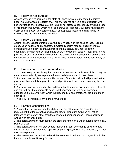#### B. Policy on Child Abuse

Anyone working with children in the state of Pennsylvania are mandated reporters under Act 31 mandated reporter law. This law requires any child care custodian who has knowledge of or observes a child in his or her professional capacity or within scope of his or her employment whom he or she knows or reasonably suspects has been the victim of child abuse, to report the known or suspected instance of child abuse to *Childline*. We are bound by this mandate.

#### C. Policy Discrimination

Aspire Nursery School prohibits unlawful discrimination on the basis of race, religious creed, color, national origin, ancestry, physical disability, medical disability, mental condition including genetic characteristics, marital status, sex, age, or sexual orientation, or other consideration made unlawful by federal, state, or local laws. It also prohibits unlawful discrimination based on the perception that anyone has any of those characteristics or is associated with a person who has or is perceived as having any of those characteristics.

#### D. Policies on Disaster Preparedness

1. Aspire Nursery School is required to run a certain amount of disaster drills throughout the academic school year to prepare if an actual disaster should take place.

2. Aspire will conduct two tornado drills per year. Students and staff will proceed to the proper location and take a proactive seated position with hands/arms covering the head and face.

3. Aspire will conduct a monthly fire drill throughout the academic school year. Students and staff will exit the appropriate door. Teacher and/or staff will bring classroom attendance, fire safety binder, which includes medical and emergency pickup forms of each child.

4. Aspire will conduct a yearly armed intruder drill.

#### E. Parent Responsibilities

1. A parent/guardian must sign the child in and out of the program each day. It is a requirement that the parent sign with a legible, full signature. Children will not be released to any person other than the designated parent/guardian unless specified in writing with advance notice.

2. The parent/guardian must contact the program if their child will be absent for the day. Page 14 of 24

3. The parent/guardian will provide and maintain at least one change of clothing and shoes, as well as an adequate supply of diapers, wipes, or Pull-Ups (if needed), for their child at the program.

4. The parent/guardian will abide by all the aforementioned rules and regulations in this handbook for Aspire Nursery School.